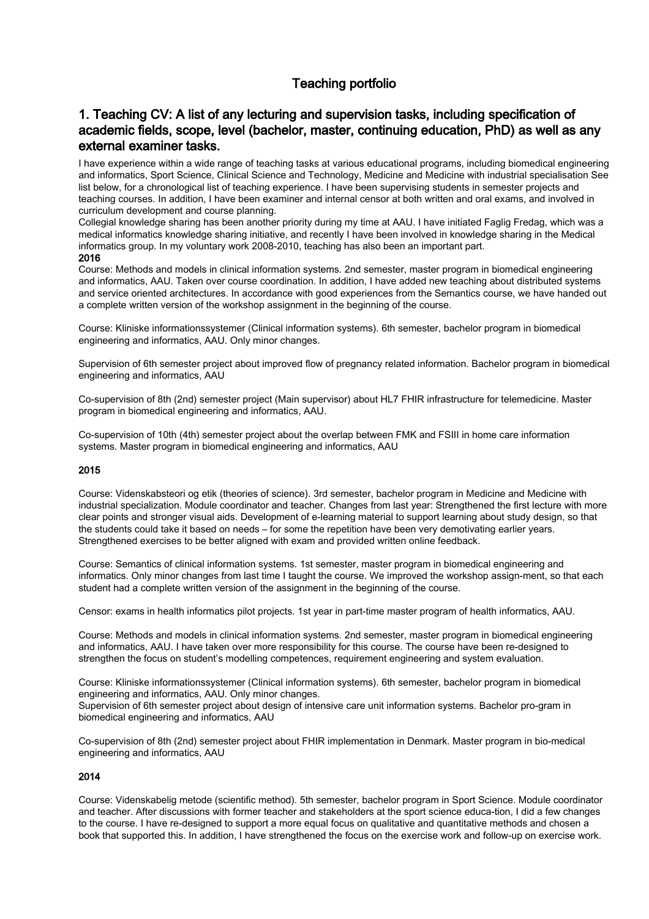# Teaching portfolio

## 1. Teaching CV: A list of any lecturing and supervision tasks, including specification of academic fields, scope, level (bachelor, master, continuing education, PhD) as well as any external examiner tasks.

I have experience within a wide range of teaching tasks at various educational programs, including biomedical engineering and informatics, Sport Science, Clinical Science and Technology, Medicine and Medicine with industrial specialisation See list below, for a chronological list of teaching experience. I have been supervising students in semester projects and teaching courses. In addition, I have been examiner and internal censor at both written and oral exams, and involved in curriculum development and course planning.

Collegial knowledge sharing has been another priority during my time at AAU. I have initiated Faglig Fredag, which was a medical informatics knowledge sharing initiative, and recently I have been involved in knowledge sharing in the Medical informatics group. In my voluntary work 2008-2010, teaching has also been an important part.

#### 2016

Course: Methods and models in clinical information systems. 2nd semester, master program in biomedical engineering and informatics, AAU. Taken over course coordination. In addition, I have added new teaching about distributed systems and service oriented architectures. In accordance with good experiences from the Semantics course, we have handed out a complete written version of the workshop assignment in the beginning of the course.

Course: Kliniske informationssystemer (Clinical information systems). 6th semester, bachelor program in biomedical engineering and informatics, AAU. Only minor changes.

Supervision of 6th semester project about improved flow of pregnancy related information. Bachelor program in biomedical engineering and informatics, AAU

Co-supervision of 8th (2nd) semester project (Main supervisor) about HL7 FHIR infrastructure for telemedicine. Master program in biomedical engineering and informatics, AAU.

Co-supervision of 10th (4th) semester project about the overlap between FMK and FSIII in home care information systems. Master program in biomedical engineering and informatics, AAU

### 2015

Course: Videnskabsteori og etik (theories of science). 3rd semester, bachelor program in Medicine and Medicine with industrial specialization. Module coordinator and teacher. Changes from last year: Strengthened the first lecture with more clear points and stronger visual aids. Development of e-learning material to support learning about study design, so that the students could take it based on needs – for some the repetition have been very demotivating earlier years. Strengthened exercises to be better aligned with exam and provided written online feedback.

Course: Semantics of clinical information systems. 1st semester, master program in biomedical engineering and informatics. Only minor changes from last time I taught the course. We improved the workshop assign-ment, so that each student had a complete written version of the assignment in the beginning of the course.

Censor: exams in health informatics pilot projects. 1st year in part-time master program of health informatics, AAU.

Course: Methods and models in clinical information systems. 2nd semester, master program in biomedical engineering and informatics, AAU. I have taken over more responsibility for this course. The course have been re-designed to strengthen the focus on student's modelling competences, requirement engineering and system evaluation.

Course: Kliniske informationssystemer (Clinical information systems). 6th semester, bachelor program in biomedical engineering and informatics, AAU. Only minor changes.

Supervision of 6th semester project about design of intensive care unit information systems. Bachelor pro-gram in biomedical engineering and informatics, AAU

Co-supervision of 8th (2nd) semester project about FHIR implementation in Denmark. Master program in bio-medical engineering and informatics, AAU

### 2014

Course: Videnskabelig metode (scientific method). 5th semester, bachelor program in Sport Science. Module coordinator and teacher. After discussions with former teacher and stakeholders at the sport science educa-tion, I did a few changes to the course. I have re-designed to support a more equal focus on qualitative and quantitative methods and chosen a book that supported this. In addition, I have strengthened the focus on the exercise work and follow-up on exercise work.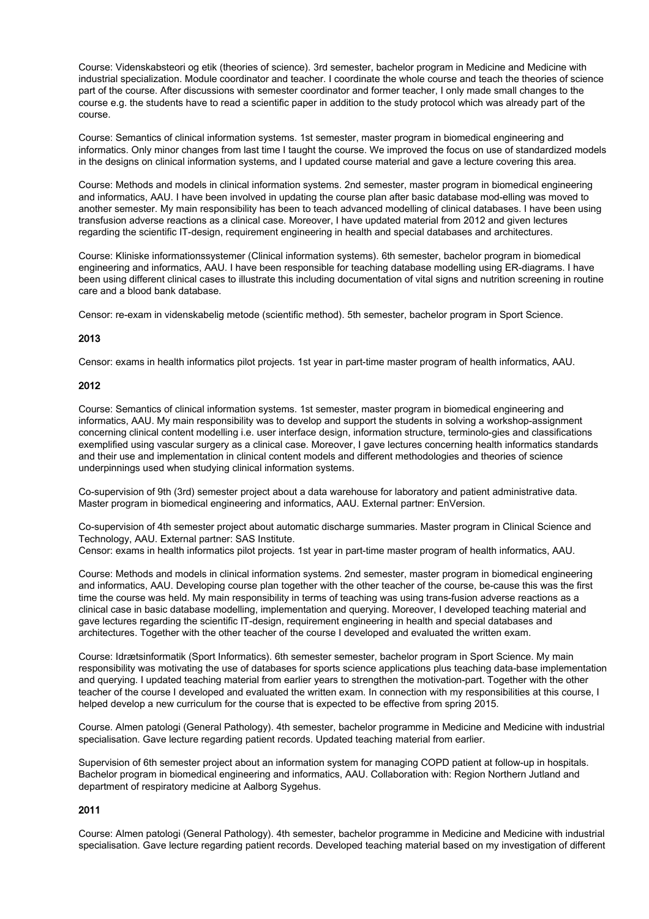Course: Videnskabsteori og etik (theories of science). 3rd semester, bachelor program in Medicine and Medicine with industrial specialization. Module coordinator and teacher. I coordinate the whole course and teach the theories of science part of the course. After discussions with semester coordinator and former teacher, I only made small changes to the course e.g. the students have to read a scientific paper in addition to the study protocol which was already part of the course.

Course: Semantics of clinical information systems. 1st semester, master program in biomedical engineering and informatics. Only minor changes from last time I taught the course. We improved the focus on use of standardized models in the designs on clinical information systems, and I updated course material and gave a lecture covering this area.

Course: Methods and models in clinical information systems. 2nd semester, master program in biomedical engineering and informatics, AAU. I have been involved in updating the course plan after basic database mod-elling was moved to another semester. My main responsibility has been to teach advanced modelling of clinical databases. I have been using transfusion adverse reactions as a clinical case. Moreover, I have updated material from 2012 and given lectures regarding the scientific IT-design, requirement engineering in health and special databases and architectures.

Course: Kliniske informationssystemer (Clinical information systems). 6th semester, bachelor program in biomedical engineering and informatics, AAU. I have been responsible for teaching database modelling using ER-diagrams. I have been using different clinical cases to illustrate this including documentation of vital signs and nutrition screening in routine care and a blood bank database.

Censor: re-exam in videnskabelig metode (scientific method). 5th semester, bachelor program in Sport Science.

#### 2013

Censor: exams in health informatics pilot projects. 1st year in part-time master program of health informatics, AAU.

#### 2012

Course: Semantics of clinical information systems. 1st semester, master program in biomedical engineering and informatics, AAU. My main responsibility was to develop and support the students in solving a workshop-assignment concerning clinical content modelling i.e. user interface design, information structure, terminolo-gies and classifications exemplified using vascular surgery as a clinical case. Moreover, I gave lectures concerning health informatics standards and their use and implementation in clinical content models and different methodologies and theories of science underpinnings used when studying clinical information systems.

Co-supervision of 9th (3rd) semester project about a data warehouse for laboratory and patient administrative data. Master program in biomedical engineering and informatics, AAU. External partner: EnVersion.

Co-supervision of 4th semester project about automatic discharge summaries. Master program in Clinical Science and Technology, AAU. External partner: SAS Institute. Censor: exams in health informatics pilot projects. 1st year in part-time master program of health informatics, AAU.

Course: Methods and models in clinical information systems. 2nd semester, master program in biomedical engineering and informatics, AAU. Developing course plan together with the other teacher of the course, be-cause this was the first time the course was held. My main responsibility in terms of teaching was using trans-fusion adverse reactions as a clinical case in basic database modelling, implementation and querying. Moreover, I developed teaching material and

gave lectures regarding the scientific IT-design, requirement engineering in health and special databases and architectures. Together with the other teacher of the course I developed and evaluated the written exam. Course: Idrætsinformatik (Sport Informatics). 6th semester semester, bachelor program in Sport Science. My main

responsibility was motivating the use of databases for sports science applications plus teaching data-base implementation and querying. I updated teaching material from earlier years to strengthen the motivation-part. Together with the other teacher of the course I developed and evaluated the written exam. In connection with my responsibilities at this course, I helped develop a new curriculum for the course that is expected to be effective from spring 2015.

Course. Almen patologi (General Pathology). 4th semester, bachelor programme in Medicine and Medicine with industrial specialisation. Gave lecture regarding patient records. Updated teaching material from earlier.

Supervision of 6th semester project about an information system for managing COPD patient at follow-up in hospitals. Bachelor program in biomedical engineering and informatics, AAU. Collaboration with: Region Northern Jutland and department of respiratory medicine at Aalborg Sygehus.

### 2011

Course: Almen patologi (General Pathology). 4th semester, bachelor programme in Medicine and Medicine with industrial specialisation. Gave lecture regarding patient records. Developed teaching material based on my investigation of different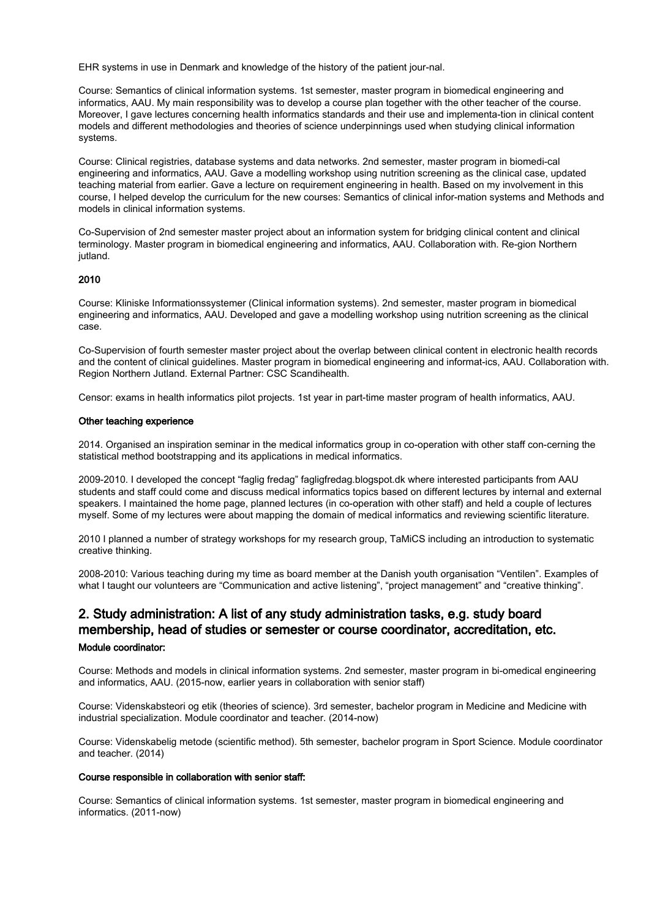EHR systems in use in Denmark and knowledge of the history of the patient jour-nal.

Course: Semantics of clinical information systems. 1st semester, master program in biomedical engineering and informatics, AAU. My main responsibility was to develop a course plan together with the other teacher of the course. Moreover, I gave lectures concerning health informatics standards and their use and implementa-tion in clinical content models and different methodologies and theories of science underpinnings used when studying clinical information systems.

Course: Clinical registries, database systems and data networks. 2nd semester, master program in biomedi-cal engineering and informatics, AAU. Gave a modelling workshop using nutrition screening as the clinical case, updated teaching material from earlier. Gave a lecture on requirement engineering in health. Based on my involvement in this course, I helped develop the curriculum for the new courses: Semantics of clinical infor-mation systems and Methods and models in clinical information systems.

Co-Supervision of 2nd semester master project about an information system for bridging clinical content and clinical terminology. Master program in biomedical engineering and informatics, AAU. Collaboration with. Re-gion Northern jutland.

#### 2010

Course: Kliniske Informationssystemer (Clinical information systems). 2nd semester, master program in biomedical engineering and informatics, AAU. Developed and gave a modelling workshop using nutrition screening as the clinical case.

Co-Supervision of fourth semester master project about the overlap between clinical content in electronic health records and the content of clinical guidelines. Master program in biomedical engineering and informat-ics, AAU. Collaboration with. Region Northern Jutland. External Partner: CSC Scandihealth.

Censor: exams in health informatics pilot projects. 1st year in part-time master program of health informatics, AAU.

#### Other teaching experience

2014. Organised an inspiration seminar in the medical informatics group in co-operation with other staff con-cerning the statistical method bootstrapping and its applications in medical informatics.

2009-2010. I developed the concept "faglig fredag" fagligfredag.blogspot.dk where interested participants from AAU students and staff could come and discuss medical informatics topics based on different lectures by internal and external speakers. I maintained the home page, planned lectures (in co-operation with other staff) and held a couple of lectures myself. Some of my lectures were about mapping the domain of medical informatics and reviewing scientific literature.

2010 I planned a number of strategy workshops for my research group, TaMiCS including an introduction to systematic creative thinking.

2008-2010: Various teaching during my time as board member at the Danish youth organisation "Ventilen". Examples of what I taught our volunteers are "Communication and active listening", "project management" and "creative thinking".

### 2. Study administration: A list of any study administration tasks, e.g. study board membership, head of studies or semester or course coordinator, accreditation, etc. Module coordinator:

Course: Methods and models in clinical information systems. 2nd semester, master program in bi-omedical engineering and informatics, AAU. (2015-now, earlier years in collaboration with senior staff)

Course: Videnskabsteori og etik (theories of science). 3rd semester, bachelor program in Medicine and Medicine with industrial specialization. Module coordinator and teacher. (2014-now)

Course: Videnskabelig metode (scientific method). 5th semester, bachelor program in Sport Science. Module coordinator and teacher. (2014)

#### Course responsible in collaboration with senior staff:

Course: Semantics of clinical information systems. 1st semester, master program in biomedical engineering and informatics. (2011-now)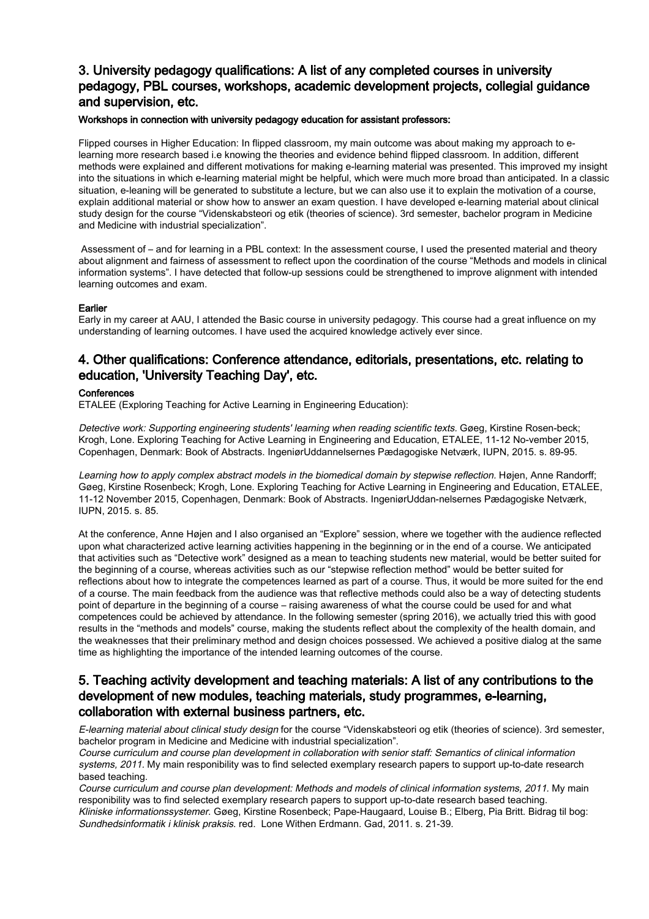## 3. University pedagogy qualifications: A list of any completed courses in university pedagogy, PBL courses, workshops, academic development projects, collegial guidance and supervision, etc.

#### Workshops in connection with university pedagogy education for assistant professors:

Flipped courses in Higher Education: In flipped classroom, my main outcome was about making my approach to elearning more research based i.e knowing the theories and evidence behind flipped classroom. In addition, different methods were explained and different motivations for making e-learning material was presented. This improved my insight into the situations in which e-learning material might be helpful, which were much more broad than anticipated. In a classic situation, e-leaning will be generated to substitute a lecture, but we can also use it to explain the motivation of a course, explain additional material or show how to answer an exam question. I have developed e-learning material about clinical study design for the course "Videnskabsteori og etik (theories of science). 3rd semester, bachelor program in Medicine and Medicine with industrial specialization".

 Assessment of – and for learning in a PBL context: In the assessment course, I used the presented material and theory about alignment and fairness of assessment to reflect upon the coordination of the course "Methods and models in clinical information systems". I have detected that follow-up sessions could be strengthened to improve alignment with intended learning outcomes and exam.

#### Earlier

Early in my career at AAU, I attended the Basic course in university pedagogy. This course had a great influence on my understanding of learning outcomes. I have used the acquired knowledge actively ever since.

### 4. Other qualifications: Conference attendance, editorials, presentations, etc. relating to education, 'University Teaching Day', etc.

#### **Conferences**

ETALEE (Exploring Teaching for Active Learning in Engineering Education):

Detective work: Supporting engineering students' learning when reading scientific texts. Gøeg, Kirstine Rosen-beck; Krogh, Lone. Exploring Teaching for Active Learning in Engineering and Education, ETALEE, 11-12 No-vember 2015, Copenhagen, Denmark: Book of Abstracts. IngeniørUddannelsernes Pædagogiske Netværk, IUPN, 2015. s. 89-95.

Learning how to apply complex abstract models in the biomedical domain by stepwise reflection. Højen, Anne Randorff; Gøeg, Kirstine Rosenbeck; Krogh, Lone. Exploring Teaching for Active Learning in Engineering and Education, ETALEE, 11-12 November 2015, Copenhagen, Denmark: Book of Abstracts. IngeniørUddan-nelsernes Pædagogiske Netværk, IUPN, 2015. s. 85.

At the conference, Anne Højen and I also organised an "Explore" session, where we together with the audience reflected upon what characterized active learning activities happening in the beginning or in the end of a course. We anticipated that activities such as "Detective work" designed as a mean to teaching students new material, would be better suited for the beginning of a course, whereas activities such as our "stepwise reflection method" would be better suited for reflections about how to integrate the competences learned as part of a course. Thus, it would be more suited for the end of a course. The main feedback from the audience was that reflective methods could also be a way of detecting students point of departure in the beginning of a course – raising awareness of what the course could be used for and what competences could be achieved by attendance. In the following semester (spring 2016), we actually tried this with good results in the "methods and models" course, making the students reflect about the complexity of the health domain, and the weaknesses that their preliminary method and design choices possessed. We achieved a positive dialog at the same time as highlighting the importance of the intended learning outcomes of the course.

### 5. Teaching activity development and teaching materials: A list of any contributions to the development of new modules, teaching materials, study programmes, e-learning, collaboration with external business partners, etc.

E-learning material about clinical study design for the course "Videnskabsteori og etik (theories of science). 3rd semester, bachelor program in Medicine and Medicine with industrial specialization".

Course curriculum and course plan development in collaboration with senior staff: Semantics of clinical information systems, 2011. My main responibility was to find selected exemplary research papers to support up-to-date research based teaching.

Course curriculum and course plan development: Methods and models of clinical information systems, 2011. My main responibility was to find selected exemplary research papers to support up-to-date research based teaching. Kliniske informationssystemer. Gøeg, Kirstine Rosenbeck; Pape-Haugaard, Louise B.; Elberg, Pia Britt. Bidrag til bog: Sundhedsinformatik i klinisk praksis. red. Lone Withen Erdmann. Gad, 2011. s. 21-39.